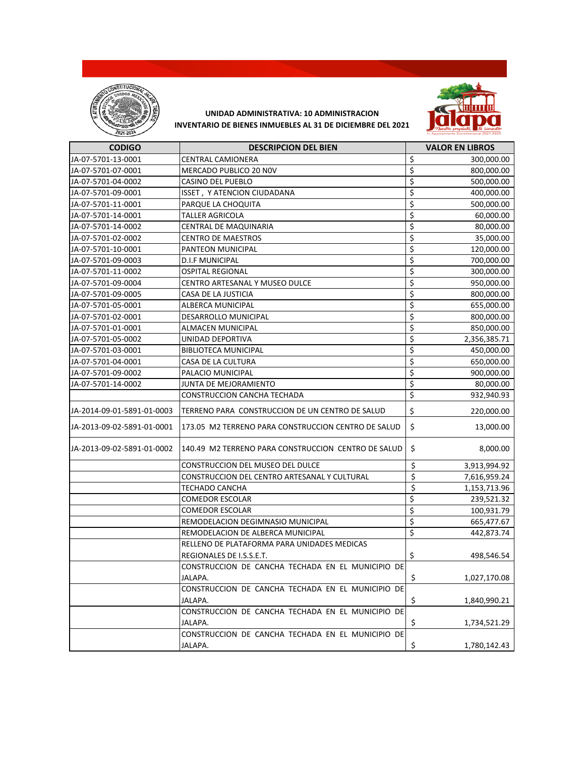



| <b>CODIGO</b>              | <b>DESCRIPCION DEL BIEN</b>                         | <b>VALOR EN LIBROS</b> |
|----------------------------|-----------------------------------------------------|------------------------|
| JA-07-5701-13-0001         | CENTRAL CAMIONERA                                   | \$<br>300,000.00       |
| JA-07-5701-07-0001         | MERCADO PUBLICO 20 NOV                              | \$<br>800,000.00       |
| JA-07-5701-04-0002         | <b>CASINO DEL PUEBLO</b>                            | \$<br>500,000.00       |
| JA-07-5701-09-0001         | ISSET, Y ATENCION CIUDADANA                         | \$<br>400,000.00       |
| JA-07-5701-11-0001         | PARQUE LA CHOQUITA                                  | \$<br>500,000.00       |
| JA-07-5701-14-0001         | <b>TALLER AGRICOLA</b>                              | \$<br>60,000.00        |
| JA-07-5701-14-0002         | CENTRAL DE MAQUINARIA                               | \$<br>80,000.00        |
| JA-07-5701-02-0002         | <b>CENTRO DE MAESTROS</b>                           | \$<br>35,000.00        |
| JA-07-5701-10-0001         | PANTEON MUNICIPAL                                   | \$<br>120,000.00       |
| JA-07-5701-09-0003         | <b>D.I.F MUNICIPAL</b>                              | \$<br>700,000.00       |
| JA-07-5701-11-0002         | <b>OSPITAL REGIONAL</b>                             | \$<br>300,000.00       |
| JA-07-5701-09-0004         | CENTRO ARTESANAL Y MUSEO DULCE                      | \$<br>950,000.00       |
| JA-07-5701-09-0005         | CASA DE LA JUSTICIA                                 | \$<br>800,000.00       |
| JA-07-5701-05-0001         | ALBERCA MUNICIPAL                                   | \$<br>655,000.00       |
| JA-07-5701-02-0001         | DESARROLLO MUNICIPAL                                | \$<br>800,000.00       |
| JA-07-5701-01-0001         | <b>ALMACEN MUNICIPAL</b>                            | \$<br>850,000.00       |
| JA-07-5701-05-0002         | UNIDAD DEPORTIVA                                    | \$<br>2,356,385.71     |
| JA-07-5701-03-0001         | <b>BIBLIOTECA MUNICIPAL</b>                         | \$<br>450,000.00       |
| JA-07-5701-04-0001         | CASA DE LA CULTURA                                  | \$<br>650,000.00       |
| JA-07-5701-09-0002         | PALACIO MUNICIPAL                                   | \$<br>900,000.00       |
| JA-07-5701-14-0002         | JUNTA DE MEJORAMIENTO                               | \$<br>80,000.00        |
|                            | CONSTRUCCION CANCHA TECHADA                         | \$<br>932,940.93       |
| JA-2014-09-01-5891-01-0003 | TERRENO PARA CONSTRUCCION DE UN CENTRO DE SALUD     | \$<br>220,000.00       |
| JA-2013-09-02-5891-01-0001 | 173.05 M2 TERRENO PARA CONSTRUCCION CENTRO DE SALUD | \$<br>13,000.00        |
| JA-2013-09-02-5891-01-0002 | 140.49 M2 TERRENO PARA CONSTRUCCION CENTRO DE SALUD | \$<br>8,000.00         |
|                            | CONSTRUCCION DEL MUSEO DEL DULCE                    | \$<br>3,913,994.92     |
|                            | CONSTRUCCION DEL CENTRO ARTESANAL Y CULTURAL        | \$<br>7,616,959.24     |
|                            | TECHADO CANCHA                                      | \$<br>1,153,713.96     |
|                            | <b>COMEDOR ESCOLAR</b>                              | \$<br>239,521.32       |
|                            | <b>COMEDOR ESCOLAR</b>                              | \$<br>100,931.79       |
|                            | REMODELACION DEGIMNASIO MUNICIPAL                   | \$<br>665,477.67       |
|                            | REMODELACION DE ALBERCA MUNICIPAL                   | \$<br>442,873.74       |
|                            | RELLENO DE PLATAFORMA PARA UNIDADES MEDICAS         |                        |
|                            | REGIONALES DE I.S.S.E.T.                            | \$<br>498,546.54       |
|                            | CONSTRUCCION DE CANCHA TECHADA EN EL MUNICIPIO DE   |                        |
|                            | JALAPA.                                             | \$<br>1,027,170.08     |
|                            | CONSTRUCCION DE CANCHA TECHADA EN EL MUNICIPIO DE   |                        |
|                            | JALAPA.                                             | \$<br>1,840,990.21     |
|                            | CONSTRUCCION DE CANCHA TECHADA EN EL MUNICIPIO DE   |                        |
|                            | JALAPA.                                             | \$<br>1,734,521.29     |
|                            | CONSTRUCCION DE CANCHA TECHADA EN EL MUNICIPIO DE   |                        |
|                            | JALAPA.                                             | \$<br>1,780,142.43     |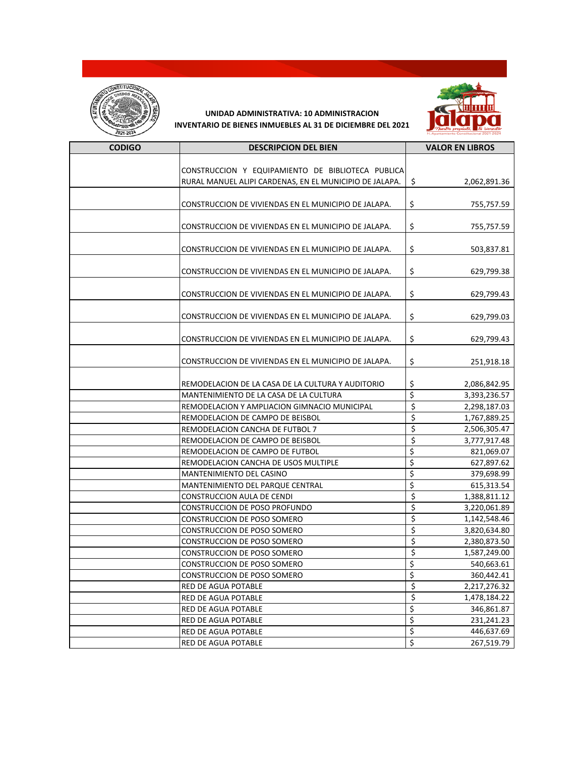



| <b>CODIGO</b> | <b>DESCRIPCION DEL BIEN</b>                                                      | <b>VALOR EN LIBROS</b>           |
|---------------|----------------------------------------------------------------------------------|----------------------------------|
|               |                                                                                  |                                  |
|               | CONSTRUCCION Y EQUIPAMIENTO DE BIBLIOTECA PUBLICA                                |                                  |
|               | RURAL MANUEL ALIPI CARDENAS, EN EL MUNICIPIO DE JALAPA.                          | \$<br>2,062,891.36               |
|               |                                                                                  |                                  |
|               | CONSTRUCCION DE VIVIENDAS EN EL MUNICIPIO DE JALAPA.                             | \$<br>755,757.59                 |
|               |                                                                                  |                                  |
|               | CONSTRUCCION DE VIVIENDAS EN EL MUNICIPIO DE JALAPA.                             | \$<br>755,757.59                 |
|               |                                                                                  |                                  |
|               | CONSTRUCCION DE VIVIENDAS EN EL MUNICIPIO DE JALAPA.                             | \$<br>503,837.81                 |
|               |                                                                                  |                                  |
|               | CONSTRUCCION DE VIVIENDAS EN EL MUNICIPIO DE JALAPA.                             | \$<br>629,799.38                 |
|               |                                                                                  |                                  |
|               | CONSTRUCCION DE VIVIENDAS EN EL MUNICIPIO DE JALAPA.                             | \$<br>629,799.43                 |
|               |                                                                                  |                                  |
|               | CONSTRUCCION DE VIVIENDAS EN EL MUNICIPIO DE JALAPA.                             | \$<br>629,799.03                 |
|               |                                                                                  |                                  |
|               | CONSTRUCCION DE VIVIENDAS EN EL MUNICIPIO DE JALAPA.                             | \$<br>629,799.43                 |
|               |                                                                                  |                                  |
|               | CONSTRUCCION DE VIVIENDAS EN EL MUNICIPIO DE JALAPA.                             | \$<br>251,918.18                 |
|               |                                                                                  |                                  |
|               | REMODELACION DE LA CASA DE LA CULTURA Y AUDITORIO                                | \$<br>2,086,842.95<br>\$         |
|               | MANTENIMIENTO DE LA CASA DE LA CULTURA                                           | 3,393,236.57<br>$\overline{\xi}$ |
|               | REMODELACION Y AMPLIACION GIMNACIO MUNICIPAL<br>REMODELACION DE CAMPO DE BEISBOL | 2,298,187.03<br>\$               |
|               |                                                                                  | 1,767,889.25<br>\$               |
|               | REMODELACION CANCHA DE FUTBOL 7                                                  | 2,506,305.47<br>\$               |
|               | REMODELACION DE CAMPO DE BEISBOL                                                 | 3,777,917.48<br>\$               |
|               | REMODELACION DE CAMPO DE FUTBOL                                                  | 821,069.07                       |
|               | REMODELACION CANCHA DE USOS MULTIPLE                                             | \$<br>627,897.62                 |
|               | MANTENIMIENTO DEL CASINO                                                         | \$<br>379,698.99                 |
|               | MANTENIMIENTO DEL PARQUE CENTRAL                                                 | \$<br>615,313.54                 |
|               | CONSTRUCCION AULA DE CENDI                                                       | \$<br>1,388,811.12               |
|               | CONSTRUCCION DE POSO PROFUNDO                                                    | \$<br>3,220,061.89               |
|               | CONSTRUCCION DE POSO SOMERO                                                      | \$<br>1,142,548.46               |
|               | <b>CONSTRUCCION DE POSO SOMERO</b>                                               | \$<br>3,820,634.80               |
|               | CONSTRUCCION DE POSO SOMERO                                                      | \$<br>2,380,873.50               |
|               | CONSTRUCCION DE POSO SOMERO                                                      | \$<br>1,587,249.00               |
|               | <b>CONSTRUCCION DE POSO SOMERO</b>                                               | \$<br>540,663.61                 |
|               | CONSTRUCCION DE POSO SOMERO                                                      | \$<br>360,442.41                 |
|               | RED DE AGUA POTABLE                                                              | \$<br>2,217,276.32               |
|               | RED DE AGUA POTABLE                                                              | \$<br>1,478,184.22               |
|               | RED DE AGUA POTABLE                                                              | \$<br>346,861.87                 |
|               | RED DE AGUA POTABLE                                                              | \$<br>231,241.23                 |
|               | RED DE AGUA POTABLE                                                              | \$<br>446,637.69                 |
|               | RED DE AGUA POTABLE                                                              | \$<br>267,519.79                 |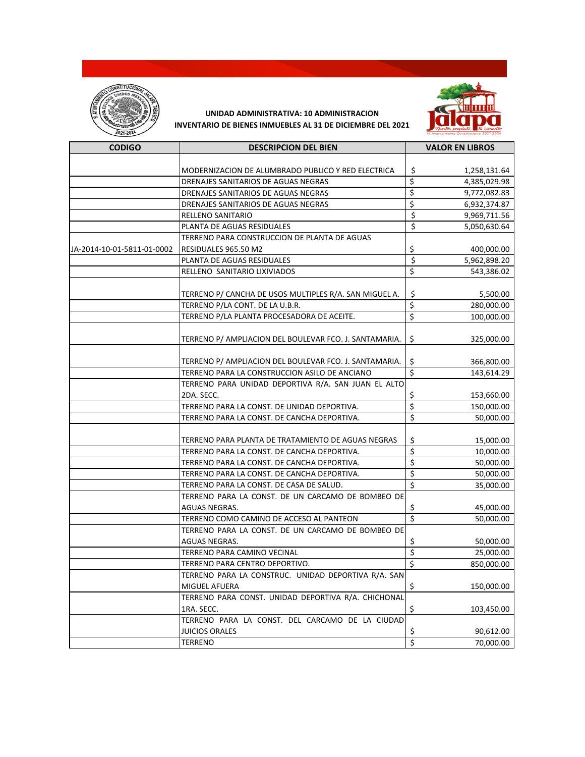



| <b>CODIGO</b>              | <b>DESCRIPCION DEL BIEN</b>                            | <b>VALOR EN LIBROS</b>          |              |
|----------------------------|--------------------------------------------------------|---------------------------------|--------------|
|                            |                                                        |                                 |              |
|                            | MODERNIZACION DE ALUMBRADO PUBLICO Y RED ELECTRICA     | \$                              | 1,258,131.64 |
|                            | DRENAJES SANITARIOS DE AGUAS NEGRAS                    | \$                              | 4,385,029.98 |
|                            | DRENAJES SANITARIOS DE AGUAS NEGRAS                    | \$                              | 9,772,082.83 |
|                            | DRENAJES SANITARIOS DE AGUAS NEGRAS                    | \$                              | 6,932,374.87 |
|                            | RELLENO SANITARIO                                      | \$                              | 9,969,711.56 |
|                            | PLANTA DE AGUAS RESIDUALES                             | \$                              | 5,050,630.64 |
|                            | TERRENO PARA CONSTRUCCION DE PLANTA DE AGUAS           |                                 |              |
| JA-2014-10-01-5811-01-0002 | RESIDUALES 965.50 M2                                   | \$                              | 400,000.00   |
|                            | PLANTA DE AGUAS RESIDUALES                             | $\overline{\mathbf{S}}$         | 5,962,898.20 |
|                            | RELLENO SANITARIO LIXIVIADOS                           | \$                              | 543,386.02   |
|                            |                                                        |                                 |              |
|                            | TERRENO P/ CANCHA DE USOS MULTIPLES R/A. SAN MIGUEL A. | \$                              | 5,500.00     |
|                            | TERRENO P/LA CONT. DE LA U.B.R.                        | \$                              | 280,000.00   |
|                            | TERRENO P/LA PLANTA PROCESADORA DE ACEITE.             | \$                              | 100,000.00   |
|                            |                                                        |                                 |              |
|                            | TERRENO P/ AMPLIACION DEL BOULEVAR FCO. J. SANTAMARIA. | \$                              | 325,000.00   |
|                            |                                                        |                                 |              |
|                            | TERRENO P/ AMPLIACION DEL BOULEVAR FCO. J. SANTAMARIA. | \$                              | 366,800.00   |
|                            | TERRENO PARA LA CONSTRUCCION ASILO DE ANCIANO          | $\overline{\xi}$                | 143,614.29   |
|                            | TERRENO PARA UNIDAD DEPORTIVA R/A, SAN JUAN EL ALTO    |                                 |              |
|                            | 2DA. SECC.                                             | \$                              | 153,660.00   |
|                            | TERRENO PARA LA CONST. DE UNIDAD DEPORTIVA.            | \$                              | 150,000.00   |
|                            | TERRENO PARA LA CONST. DE CANCHA DEPORTIVA.            | \$                              | 50,000.00    |
|                            |                                                        |                                 |              |
|                            | TERRENO PARA PLANTA DE TRATAMIENTO DE AGUAS NEGRAS     | \$                              | 15,000.00    |
|                            | TERRENO PARA LA CONST. DE CANCHA DEPORTIVA.            | \$                              | 10,000.00    |
|                            | TERRENO PARA LA CONST. DE CANCHA DEPORTIVA.            | \$                              | 50,000.00    |
|                            | TERRENO PARA LA CONST. DE CANCHA DEPORTIVA.            | \$                              | 50,000.00    |
|                            | TERRENO PARA LA CONST. DE CASA DE SALUD.               | \$                              | 35,000.00    |
|                            | TERRENO PARA LA CONST. DE UN CARCAMO DE BOMBEO DE      |                                 |              |
|                            | AGUAS NEGRAS.                                          | Ş                               | 45,000.00    |
|                            | TERRENO COMO CAMINO DE ACCESO AL PANTEON               | $\overline{\boldsymbol{\zeta}}$ | 50,000.00    |
|                            | TERRENO PARA LA CONST. DE UN CARCAMO DE BOMBEO DE      |                                 |              |
|                            | AGUAS NEGRAS.                                          | \$                              | 50,000.00    |
|                            | TERRENO PARA CAMINO VECINAL                            | \$                              | 25,000.00    |
|                            | TERRENO PARA CENTRO DEPORTIVO.                         | \$                              | 850,000.00   |
|                            | TERRENO PARA LA CONSTRUC. UNIDAD DEPORTIVA R/A. SAN    |                                 |              |
|                            | MIGUEL AFUERA                                          | \$                              | 150,000.00   |
|                            | TERRENO PARA CONST. UNIDAD DEPORTIVA R/A. CHICHONAL    |                                 |              |
|                            | 1RA. SECC.                                             | \$                              | 103,450.00   |
|                            | TERRENO PARA LA CONST. DEL CARCAMO DE LA CIUDAD        |                                 |              |
|                            | JUICIOS ORALES                                         | \$                              | 90,612.00    |
|                            | TERRENO                                                | $\overline{\xi}$                | 70,000.00    |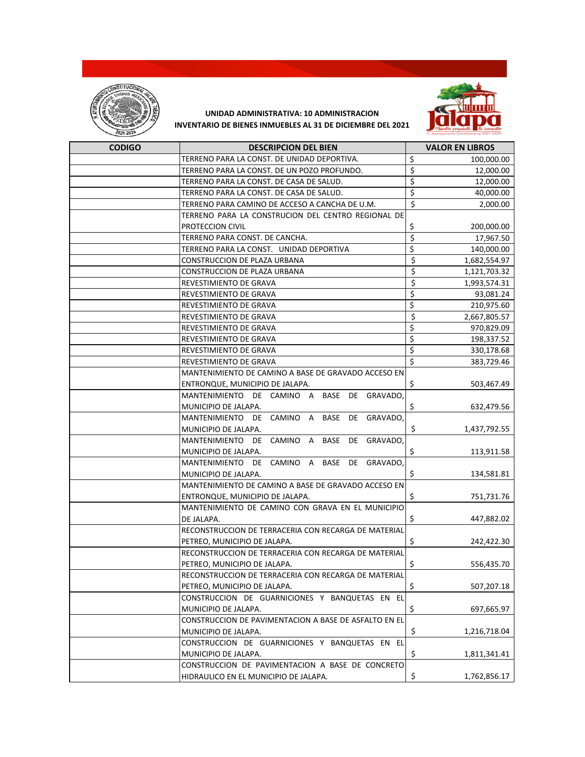



| <b>CODIGO</b> | <b>DESCRIPCION DEL BIEN</b>                           | <b>VALOR EN LIBROS</b> |
|---------------|-------------------------------------------------------|------------------------|
|               | TERRENO PARA LA CONST. DE UNIDAD DEPORTIVA.           | \$<br>100,000.00       |
|               | TERRENO PARA LA CONST. DE UN POZO PROFUNDO.           | \$<br>12,000.00        |
|               | TERRENO PARA LA CONST. DE CASA DE SALUD.              | \$<br>12,000.00        |
|               | TERRENO PARA LA CONST. DE CASA DE SALUD.              | \$<br>40,000.00        |
|               | TERRENO PARA CAMINO DE ACCESO A CANCHA DE U.M.        | \$<br>2,000.00         |
|               | TERRENO PARA LA CONSTRUCION DEL CENTRO REGIONAL DE    |                        |
|               | PROTECCION CIVIL                                      | \$<br>200,000.00       |
|               | TERRENO PARA CONST. DE CANCHA.                        | \$<br>17,967.50        |
|               | TERRENO PARA LA CONST. UNIDAD DEPORTIVA               | \$<br>140,000.00       |
|               | <b>CONSTRUCCION DE PLAZA URBANA</b>                   | \$<br>1,682,554.97     |
|               | CONSTRUCCION DE PLAZA URBANA                          | \$<br>1,121,703.32     |
|               | REVESTIMIENTO DE GRAVA                                | \$<br>1,993,574.31     |
|               | REVESTIMIENTO DE GRAVA                                | \$<br>93,081.24        |
|               | REVESTIMIENTO DE GRAVA                                | \$<br>210,975.60       |
|               | REVESTIMIENTO DE GRAVA                                | \$<br>2,667,805.57     |
|               | REVESTIMIENTO DE GRAVA                                | \$<br>970,829.09       |
|               | REVESTIMIENTO DE GRAVA                                | \$<br>198,337.52       |
|               | REVESTIMIENTO DE GRAVA                                | \$<br>330,178.68       |
|               | REVESTIMIENTO DE GRAVA                                | \$<br>383,729.46       |
|               | MANTENIMIENTO DE CAMINO A BASE DE GRAVADO ACCESO EN   |                        |
|               | ENTRONQUE, MUNICIPIO DE JALAPA.                       | \$<br>503,467.49       |
|               | BASE DE GRAVADO,<br>MANTENIMIENTO DE CAMINO A         |                        |
|               | MUNICIPIO DE JALAPA.                                  | \$<br>632,479.56       |
|               | MANTENIMIENTO DE CAMINO A<br>BASE<br>DE GRAVADO,      |                        |
|               | MUNICIPIO DE JALAPA.                                  | \$<br>1,437,792.55     |
|               | MANTENIMIENTO DE CAMINO A<br>BASE DE GRAVADO,         |                        |
|               | MUNICIPIO DE JALAPA.                                  | \$<br>113,911.58       |
|               | MANTENIMIENTO DE CAMINO A BASE DE GRAVADO,            |                        |
|               | MUNICIPIO DE JALAPA.                                  | \$<br>134,581.81       |
|               | MANTENIMIENTO DE CAMINO A BASE DE GRAVADO ACCESO EN   |                        |
|               | ENTRONQUE, MUNICIPIO DE JALAPA.                       | \$<br>751,731.76       |
|               | MANTENIMIENTO DE CAMINO CON GRAVA EN EL MUNICIPIO     |                        |
|               | DE JALAPA.                                            | \$<br>447,882.02       |
|               | RECONSTRUCCION DE TERRACERIA CON RECARGA DE MATERIAL  |                        |
|               | PETREO, MUNICIPIO DE JALAPA.                          | \$<br>242,422.30       |
|               | RECONSTRUCCION DE TERRACERIA CON RECARGA DE MATERIAL  |                        |
|               | PETREO, MUNICIPIO DE JALAPA.                          | \$<br>556,435.70       |
|               | RECONSTRUCCION DE TERRACERIA CON RECARGA DE MATERIAL  |                        |
|               | PETREO, MUNICIPIO DE JALAPA.                          | \$<br>507,207.18       |
|               | CONSTRUCCION DE GUARNICIONES Y BANQUETAS EN EL        |                        |
|               | MUNICIPIO DE JALAPA.                                  | \$<br>697,665.97       |
|               | CONSTRUCCION DE PAVIMENTACION A BASE DE ASFALTO EN EL |                        |
|               | MUNICIPIO DE JALAPA.                                  | \$<br>1,216,718.04     |
|               | CONSTRUCCION DE GUARNICIONES Y BANQUETAS EN EL        |                        |
|               | MUNICIPIO DE JALAPA.                                  | \$<br>1,811,341.41     |
|               | CONSTRUCCION DE PAVIMENTACION A BASE DE CONCRETO      |                        |
|               | HIDRAULICO EN EL MUNICIPIO DE JALAPA.                 | 1,762,856.17           |
|               |                                                       | \$                     |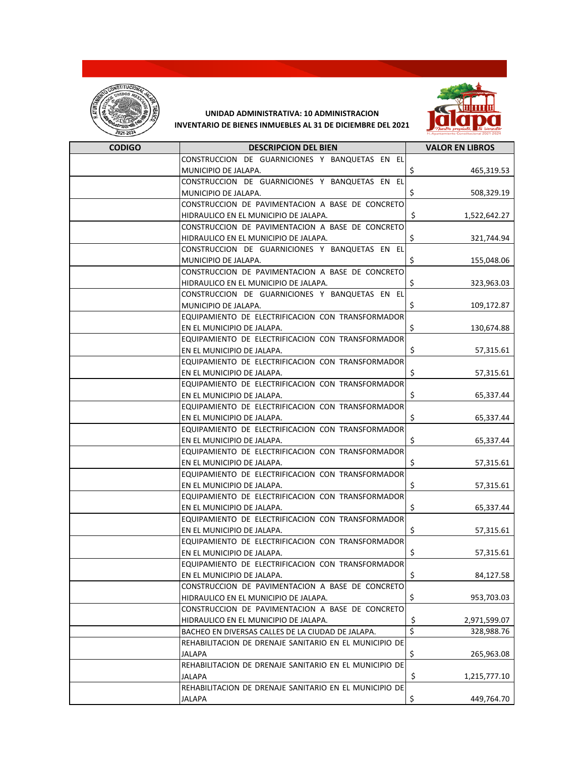



| <b>CODIGO</b> | <b>DESCRIPCION DEL BIEN</b>                            | <b>VALOR EN LIBROS</b> |
|---------------|--------------------------------------------------------|------------------------|
|               | CONSTRUCCION DE GUARNICIONES Y BANQUETAS EN EL         |                        |
|               | MUNICIPIO DE JALAPA.                                   | \$<br>465,319.53       |
|               | CONSTRUCCION DE GUARNICIONES Y BANQUETAS EN EL         |                        |
|               | MUNICIPIO DE JALAPA.                                   | \$<br>508,329.19       |
|               | CONSTRUCCION DE PAVIMENTACION A BASE DE CONCRETO       |                        |
|               | HIDRAULICO EN EL MUNICIPIO DE JALAPA.                  | \$<br>1,522,642.27     |
|               | CONSTRUCCION DE PAVIMENTACION A BASE DE CONCRETO       |                        |
|               | HIDRAULICO EN EL MUNICIPIO DE JALAPA.                  | \$<br>321,744.94       |
|               | CONSTRUCCION DE GUARNICIONES Y BANQUETAS EN EL         |                        |
|               | MUNICIPIO DE JALAPA.                                   | \$<br>155,048.06       |
|               | CONSTRUCCION DE PAVIMENTACION A BASE DE CONCRETO       |                        |
|               | HIDRAULICO EN EL MUNICIPIO DE JALAPA.                  | \$<br>323,963.03       |
|               | CONSTRUCCION DE GUARNICIONES Y BANQUETAS EN EL         |                        |
|               | MUNICIPIO DE JALAPA.                                   | \$<br>109,172.87       |
|               | EQUIPAMIENTO DE ELECTRIFICACION CON TRANSFORMADOR      |                        |
|               | EN EL MUNICIPIO DE JALAPA.                             | \$<br>130,674.88       |
|               | EQUIPAMIENTO DE ELECTRIFICACION CON TRANSFORMADOR      |                        |
|               | EN EL MUNICIPIO DE JALAPA.                             | \$<br>57,315.61        |
|               | EQUIPAMIENTO DE ELECTRIFICACION CON TRANSFORMADOR      |                        |
|               | EN EL MUNICIPIO DE JALAPA.                             | \$<br>57,315.61        |
|               | EQUIPAMIENTO DE ELECTRIFICACION CON TRANSFORMADOR      |                        |
|               | EN EL MUNICIPIO DE JALAPA.                             | \$<br>65,337.44        |
|               | EQUIPAMIENTO DE ELECTRIFICACION CON TRANSFORMADOR      |                        |
|               | EN EL MUNICIPIO DE JALAPA.                             | \$<br>65,337.44        |
|               | EQUIPAMIENTO DE ELECTRIFICACION CON TRANSFORMADOR      |                        |
|               | EN EL MUNICIPIO DE JALAPA.                             | \$<br>65,337.44        |
|               | EQUIPAMIENTO DE ELECTRIFICACION CON TRANSFORMADOR      |                        |
|               | EN EL MUNICIPIO DE JALAPA.                             | \$<br>57,315.61        |
|               | EQUIPAMIENTO DE ELECTRIFICACION CON TRANSFORMADOR      |                        |
|               | EN EL MUNICIPIO DE JALAPA.                             | \$<br>57,315.61        |
|               | EQUIPAMIENTO DE ELECTRIFICACION CON TRANSFORMADOR      |                        |
|               | EN EL MUNICIPIO DE JALAPA.                             | \$<br>65,337.44        |
|               | EQUIPAMIENTO DE ELECTRIFICACION CON TRANSFORMADOR      |                        |
|               | EN EL MUNICIPIO DE JALAPA.                             | \$<br>57,315.61        |
|               | EQUIPAMIENTO DE ELECTRIFICACION CON TRANSFORMADOR      |                        |
|               | EN EL MUNICIPIO DE JALAPA.                             | \$<br>57,315.61        |
|               | EQUIPAMIENTO DE ELECTRIFICACION CON TRANSFORMADOR      |                        |
|               | EN EL MUNICIPIO DE JALAPA.                             | \$<br>84,127.58        |
|               | CONSTRUCCION DE PAVIMENTACION A BASE DE CONCRETO       |                        |
|               | HIDRAULICO EN EL MUNICIPIO DE JALAPA.                  | \$<br>953,703.03       |
|               | CONSTRUCCION DE PAVIMENTACION A BASE DE CONCRETO       |                        |
|               | HIDRAULICO EN EL MUNICIPIO DE JALAPA.                  | \$<br>2,971,599.07     |
|               | BACHEO EN DIVERSAS CALLES DE LA CIUDAD DE JALAPA.      | \$<br>328,988.76       |
|               | REHABILITACION DE DRENAJE SANITARIO EN EL MUNICIPIO DE |                        |
|               | JALAPA                                                 | \$<br>265,963.08       |
|               | REHABILITACION DE DRENAJE SANITARIO EN EL MUNICIPIO DE |                        |
|               | <b>JALAPA</b>                                          | \$<br>1,215,777.10     |
|               | REHABILITACION DE DRENAJE SANITARIO EN EL MUNICIPIO DE |                        |
|               | <b>JALAPA</b>                                          | \$<br>449,764.70       |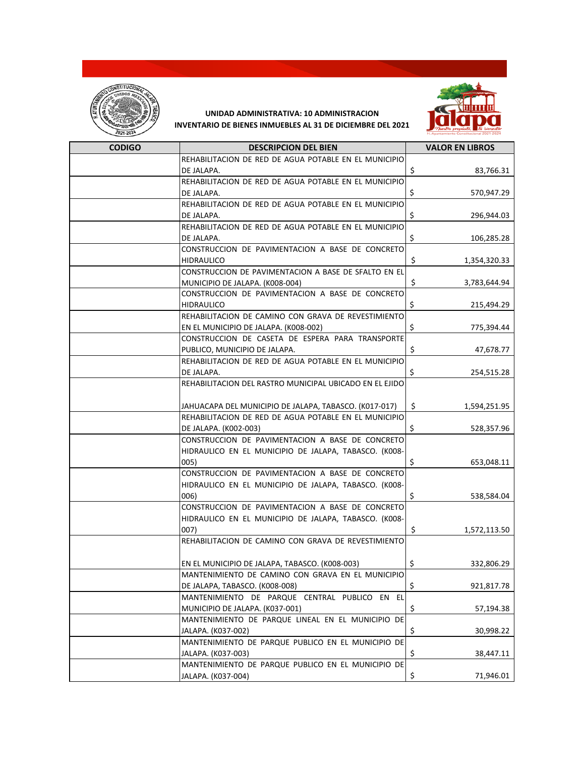



| <b>CODIGO</b> | <b>DESCRIPCION DEL BIEN</b>                             | <b>VALOR EN LIBROS</b> |
|---------------|---------------------------------------------------------|------------------------|
|               | REHABILITACION DE RED DE AGUA POTABLE EN EL MUNICIPIO   |                        |
|               | DE JALAPA.                                              | \$<br>83,766.31        |
|               | REHABILITACION DE RED DE AGUA POTABLE EN EL MUNICIPIO   |                        |
|               | DE JALAPA.                                              | \$<br>570,947.29       |
|               | REHABILITACION DE RED DE AGUA POTABLE EN EL MUNICIPIO   |                        |
|               | DE JALAPA.                                              | \$<br>296,944.03       |
|               | REHABILITACION DE RED DE AGUA POTABLE EN EL MUNICIPIO   |                        |
|               | DE JALAPA.                                              | \$<br>106,285.28       |
|               | CONSTRUCCION DE PAVIMENTACION A BASE DE CONCRETO        |                        |
|               | <b>HIDRAULICO</b>                                       | \$<br>1,354,320.33     |
|               | CONSTRUCCION DE PAVIMENTACION A BASE DE SFALTO EN EL    |                        |
|               | MUNICIPIO DE JALAPA. (K008-004)                         | \$<br>3,783,644.94     |
|               | CONSTRUCCION DE PAVIMENTACION A BASE DE CONCRETO        |                        |
|               | <b>HIDRAULICO</b>                                       | \$<br>215,494.29       |
|               | REHABILITACION DE CAMINO CON GRAVA DE REVESTIMIENTO     |                        |
|               | EN EL MUNICIPIO DE JALAPA. (K008-002)                   | \$<br>775,394.44       |
|               | CONSTRUCCION DE CASETA DE ESPERA PARA TRANSPORTE        |                        |
|               | PUBLICO, MUNICIPIO DE JALAPA.                           | \$<br>47,678.77        |
|               | REHABILITACION DE RED DE AGUA POTABLE EN EL MUNICIPIO   |                        |
|               | DE JALAPA.                                              | \$<br>254,515.28       |
|               | REHABILITACION DEL RASTRO MUNICIPAL UBICADO EN EL EJIDO |                        |
|               | JAHUACAPA DEL MUNICIPIO DE JALAPA, TABASCO. (K017-017)  | Ś.<br>1,594,251.95     |
|               | REHABILITACION DE RED DE AGUA POTABLE EN EL MUNICIPIO   |                        |
|               | DE JALAPA. (K002-003)                                   | \$<br>528,357.96       |
|               | CONSTRUCCION DE PAVIMENTACION A BASE DE CONCRETO        |                        |
|               | HIDRAULICO EN EL MUNICIPIO DE JALAPA, TABASCO. (K008-   |                        |
|               | 005)                                                    | \$<br>653,048.11       |
|               | CONSTRUCCION DE PAVIMENTACION A BASE DE CONCRETO        |                        |
|               | HIDRAULICO EN EL MUNICIPIO DE JALAPA, TABASCO. (K008-   |                        |
|               | 006)                                                    | \$<br>538,584.04       |
|               | CONSTRUCCION DE PAVIMENTACION A BASE DE CONCRETO        |                        |
|               | HIDRAULICO EN EL MUNICIPIO DE JALAPA, TABASCO. (K008-   |                        |
|               | 007)                                                    | \$<br>1,572,113.50     |
|               | REHABILITACION DE CAMINO CON GRAVA DE REVESTIMIENTO     |                        |
|               | EN EL MUNICIPIO DE JALAPA, TABASCO. (K008-003)          | \$<br>332,806.29       |
|               | MANTENIMIENTO DE CAMINO CON GRAVA EN EL MUNICIPIO       |                        |
|               | DE JALAPA, TABASCO. (K008-008)                          | \$<br>921,817.78       |
|               | MANTENIMIENTO DE PARQUE CENTRAL PUBLICO EN EL           |                        |
|               | MUNICIPIO DE JALAPA. (K037-001)                         | \$<br>57,194.38        |
|               | MANTENIMIENTO DE PARQUE LINEAL EN EL MUNICIPIO DE       |                        |
|               | JALAPA. (K037-002)                                      | \$<br>30,998.22        |
|               | MANTENIMIENTO DE PARQUE PUBLICO EN EL MUNICIPIO DE      |                        |
|               | JALAPA. (K037-003)                                      | \$<br>38,447.11        |
|               | MANTENIMIENTO DE PARQUE PUBLICO EN EL MUNICIPIO DE      |                        |
|               | JALAPA. (K037-004)                                      | \$<br>71,946.01        |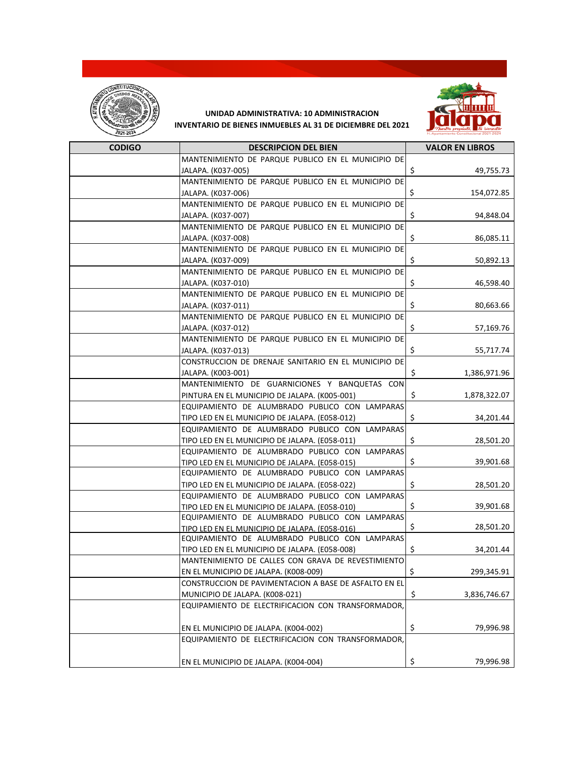



| <b>CODIGO</b> | <b>DESCRIPCION DEL BIEN</b>                                                                      | <b>VALOR EN LIBROS</b> |
|---------------|--------------------------------------------------------------------------------------------------|------------------------|
|               | MANTENIMIENTO DE PARQUE PUBLICO EN EL MUNICIPIO DE                                               |                        |
|               | JALAPA. (K037-005)                                                                               | \$<br>49,755.73        |
|               | MANTENIMIENTO DE PARQUE PUBLICO EN EL MUNICIPIO DE                                               |                        |
|               | JALAPA. (K037-006)                                                                               | \$<br>154,072.85       |
|               | MANTENIMIENTO DE PARQUE PUBLICO EN EL MUNICIPIO DE                                               |                        |
|               | JALAPA. (K037-007)                                                                               | \$<br>94,848.04        |
|               | MANTENIMIENTO DE PARQUE PUBLICO EN EL MUNICIPIO DE                                               |                        |
|               | JALAPA. (K037-008)                                                                               | \$<br>86,085.11        |
|               | MANTENIMIENTO DE PARQUE PUBLICO EN EL MUNICIPIO DE                                               |                        |
|               | JALAPA. (K037-009)                                                                               | \$<br>50,892.13        |
|               | MANTENIMIENTO DE PARQUE PUBLICO EN EL MUNICIPIO DE                                               |                        |
|               | JALAPA. (K037-010)                                                                               | \$<br>46,598.40        |
|               | MANTENIMIENTO DE PARQUE PUBLICO EN EL MUNICIPIO DE                                               |                        |
|               | JALAPA. (K037-011)                                                                               | \$<br>80,663.66        |
|               | MANTENIMIENTO DE PARQUE PUBLICO EN EL MUNICIPIO DE                                               |                        |
|               | JALAPA. (K037-012)                                                                               | \$<br>57,169.76        |
|               | MANTENIMIENTO DE PARQUE PUBLICO EN EL MUNICIPIO DE                                               |                        |
|               | JALAPA. (K037-013)                                                                               | \$<br>55,717.74        |
|               | CONSTRUCCION DE DRENAJE SANITARIO EN EL MUNICIPIO DE                                             |                        |
|               | JALAPA. (K003-001)                                                                               | \$<br>1,386,971.96     |
|               | MANTENIMIENTO DE GUARNICIONES Y BANQUETAS CON                                                    |                        |
|               | PINTURA EN EL MUNICIPIO DE JALAPA. (K005-001)                                                    | \$<br>1,878,322.07     |
|               | EQUIPAMIENTO DE ALUMBRADO PUBLICO CON LAMPARAS                                                   |                        |
|               | TIPO LED EN EL MUNICIPIO DE JALAPA. (E058-012)                                                   | \$<br>34,201.44        |
|               | EQUIPAMIENTO DE ALUMBRADO PUBLICO CON LAMPARAS                                                   |                        |
|               | TIPO LED EN EL MUNICIPIO DE JALAPA. (E058-011)                                                   | \$<br>28,501.20        |
|               | EQUIPAMIENTO DE ALUMBRADO PUBLICO CON LAMPARAS                                                   |                        |
|               | TIPO LED EN EL MUNICIPIO DE JALAPA. (E058-015)                                                   | \$<br>39,901.68        |
|               | EQUIPAMIENTO DE ALUMBRADO PUBLICO CON LAMPARAS                                                   |                        |
|               | TIPO LED EN EL MUNICIPIO DE JALAPA. (E058-022)                                                   | \$<br>28,501.20        |
|               | EQUIPAMIENTO DE ALUMBRADO PUBLICO CON LAMPARAS                                                   | \$<br>39,901.68        |
|               | TIPO LED EN EL MUNICIPIO DE JALAPA. (E058-010)<br>EQUIPAMIENTO DE ALUMBRADO PUBLICO CON LAMPARAS |                        |
|               | TIPO LED EN EL MUNICIPIO DE JALAPA. (E058-016)                                                   | \$<br>28,501.20        |
|               | EQUIPAMIENTO DE ALUMBRADO PUBLICO CON LAMPARAS                                                   |                        |
|               | TIPO LED EN EL MUNICIPIO DE JALAPA. (E058-008)                                                   | \$<br>34,201.44        |
|               | MANTENIMIENTO DE CALLES CON GRAVA DE REVESTIMIENTO                                               |                        |
|               | EN EL MUNICIPIO DE JALAPA. (K008-009)                                                            | \$<br>299,345.91       |
|               | CONSTRUCCION DE PAVIMENTACION A BASE DE ASFALTO EN EL                                            |                        |
|               | MUNICIPIO DE JALAPA. (K008-021)                                                                  | \$<br>3,836,746.67     |
|               | EQUIPAMIENTO DE ELECTRIFICACION CON TRANSFORMADOR,                                               |                        |
|               |                                                                                                  |                        |
|               | EN EL MUNICIPIO DE JALAPA. (K004-002)                                                            | \$<br>79,996.98        |
|               | EQUIPAMIENTO DE ELECTRIFICACION CON TRANSFORMADOR,                                               |                        |
|               |                                                                                                  |                        |
|               | EN EL MUNICIPIO DE JALAPA. (K004-004)                                                            | \$<br>79,996.98        |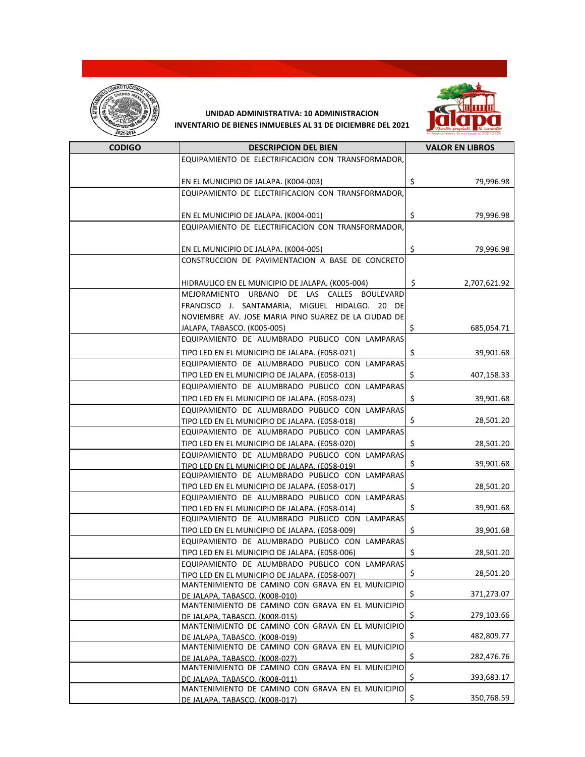



| <b>CODIGO</b> | <b>DESCRIPCION DEL BIEN</b>                                                                         | <b>VALOR EN LIBROS</b> |
|---------------|-----------------------------------------------------------------------------------------------------|------------------------|
|               | EQUIPAMIENTO DE ELECTRIFICACION CON TRANSFORMADOR,                                                  |                        |
|               |                                                                                                     |                        |
|               | EN EL MUNICIPIO DE JALAPA. (K004-003)                                                               | \$<br>79,996.98        |
|               | EQUIPAMIENTO DE ELECTRIFICACION CON TRANSFORMADOR,                                                  |                        |
|               |                                                                                                     |                        |
|               | EN EL MUNICIPIO DE JALAPA. (K004-001)                                                               | \$<br>79,996.98        |
|               | EQUIPAMIENTO DE ELECTRIFICACION CON TRANSFORMADOR,                                                  |                        |
|               |                                                                                                     |                        |
|               | EN EL MUNICIPIO DE JALAPA. (K004-005)                                                               | \$<br>79,996.98        |
|               | CONSTRUCCION DE PAVIMENTACION A BASE DE CONCRETO                                                    |                        |
|               |                                                                                                     |                        |
|               | HIDRAULICO EN EL MUNICIPIO DE JALAPA. (K005-004)                                                    | \$<br>2,707,621.92     |
|               | MEJORAMIENTO URBANO DE LAS CALLES BOULEVARD                                                         |                        |
|               | FRANCISCO J. SANTAMARIA, MIGUEL HIDALGO. 20 DE                                                      |                        |
|               | NOVIEMBRE AV. JOSE MARIA PINO SUAREZ DE LA CIUDAD DE                                                |                        |
|               | JALAPA, TABASCO. (K005-005)                                                                         | \$<br>685,054.71       |
|               | EQUIPAMIENTO DE ALUMBRADO PUBLICO CON LAMPARAS                                                      |                        |
|               | TIPO LED EN EL MUNICIPIO DE JALAPA. (E058-021)                                                      | \$<br>39,901.68        |
|               | EQUIPAMIENTO DE ALUMBRADO PUBLICO CON LAMPARAS                                                      |                        |
|               | TIPO LED EN EL MUNICIPIO DE JALAPA. (E058-013)                                                      | \$<br>407,158.33       |
|               | EQUIPAMIENTO DE ALUMBRADO PUBLICO CON LAMPARAS                                                      |                        |
|               | TIPO LED EN EL MUNICIPIO DE JALAPA. (E058-023)                                                      | \$<br>39,901.68        |
|               | EQUIPAMIENTO DE ALUMBRADO PUBLICO CON LAMPARAS                                                      |                        |
|               | TIPO LED EN EL MUNICIPIO DE JALAPA. (E058-018)                                                      | \$<br>28,501.20        |
|               | EQUIPAMIENTO DE ALUMBRADO PUBLICO CON LAMPARAS                                                      |                        |
|               | TIPO LED EN EL MUNICIPIO DE JALAPA. (E058-020)                                                      | \$<br>28,501.20        |
|               | EQUIPAMIENTO DE ALUMBRADO PUBLICO CON LAMPARAS                                                      |                        |
|               | TIPO LED EN EL MUNICIPIO DE JALAPA. (E058-019)                                                      | \$<br>39,901.68        |
|               | EQUIPAMIENTO DE ALUMBRADO PUBLICO CON LAMPARAS                                                      |                        |
|               | TIPO LED EN EL MUNICIPIO DE JALAPA. (E058-017)                                                      | \$<br>28,501.20        |
|               | EQUIPAMIENTO DE ALUMBRADO PUBLICO CON LAMPARAS                                                      |                        |
|               | TIPO LED EN EL MUNICIPIO DE JALAPA. (E058-014)                                                      | \$<br>39,901.68        |
|               | EQUIPAMIENTO DE ALUMBRADO PUBLICO CON LAMPARAS                                                      |                        |
|               | TIPO LED EN EL MUNICIPIO DE JALAPA. (E058-009)                                                      | \$<br>39,901.68        |
|               | EQUIPAMIENTO DE ALUMBRADO PUBLICO CON LAMPARAS                                                      |                        |
|               | TIPO LED EN EL MUNICIPIO DE JALAPA. (E058-006)<br>EQUIPAMIENTO DE ALUMBRADO PUBLICO CON LAMPARAS    | \$<br>28,501.20        |
|               |                                                                                                     | 28,501.20<br>\$        |
|               | TIPO LED EN EL MUNICIPIO DE JALAPA. (E058-007)<br>MANTENIMIENTO DE CAMINO CON GRAVA EN EL MUNICIPIO |                        |
|               | DE JALAPA, TABASCO. (K008-010)                                                                      | \$<br>371,273.07       |
|               | MANTENIMIENTO DE CAMINO CON GRAVA EN EL MUNICIPIO                                                   |                        |
|               | DE JALAPA, TABASCO. (K008-015)                                                                      | \$<br>279,103.66       |
|               | MANTENIMIENTO DE CAMINO CON GRAVA EN EL MUNICIPIO                                                   |                        |
|               | DE JALAPA, TABASCO. (K008-019)                                                                      | \$<br>482,809.77       |
|               | MANTENIMIENTO DE CAMINO CON GRAVA EN EL MUNICIPIO                                                   |                        |
|               | DE JALAPA, TABASCO. (K008-027)                                                                      | \$<br>282,476.76       |
|               | MANTENIMIENTO DE CAMINO CON GRAVA EN EL MUNICIPIO                                                   |                        |
|               | DE JALAPA, TABASCO. (K008-011)                                                                      | \$<br>393,683.17       |
|               | MANTENIMIENTO DE CAMINO CON GRAVA EN EL MUNICIPIO<br>DE JALAPA, TABASCO. (K008-017)                 | \$<br>350,768.59       |
|               |                                                                                                     |                        |